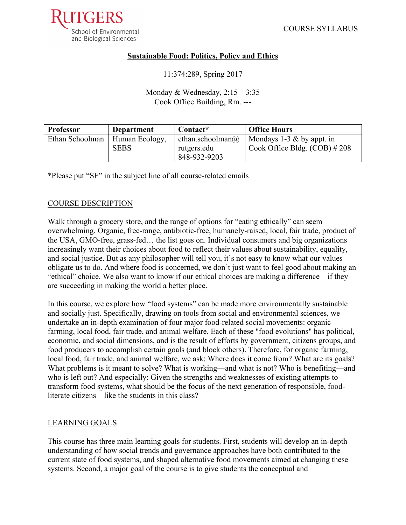

#### **Sustainable Food: Politics, Policy and Ethics**

11:374:289, Spring 2017

Monday  $&$  Wednesday,  $2:15 - 3:35$ Cook Office Building, Rm. ---

| <b>Professor</b> | <b>Department</b>             | Contact*                                                | <b>Office Hours</b>                                             |
|------------------|-------------------------------|---------------------------------------------------------|-----------------------------------------------------------------|
| Ethan Schoolman  | Human Ecology,<br><b>SEBS</b> | ethan.schoolman $\omega$<br>rutgers.edu<br>848-932-9203 | Mondays 1-3 $\&$ by appt. in<br>Cook Office Bldg. $(COB)$ # 208 |

\*Please put "SF" in the subject line of all course-related emails

## COURSE DESCRIPTION

Walk through a grocery store, and the range of options for "eating ethically" can seem overwhelming. Organic, free-range, antibiotic-free, humanely-raised, local, fair trade, product of the USA, GMO-free, grass-fed… the list goes on. Individual consumers and big organizations increasingly want their choices about food to reflect their values about sustainability, equality, and social justice. But as any philosopher will tell you, it's not easy to know what our values obligate us to do. And where food is concerned, we don't just want to feel good about making an "ethical" choice. We also want to know if our ethical choices are making a difference—if they are succeeding in making the world a better place.

In this course, we explore how "food systems" can be made more environmentally sustainable and socially just. Specifically, drawing on tools from social and environmental sciences, we undertake an in-depth examination of four major food-related social movements: organic farming, local food, fair trade, and animal welfare. Each of these "food evolutions" has political, economic, and social dimensions, and is the result of efforts by government, citizens groups, and food producers to accomplish certain goals (and block others). Therefore, for organic farming, local food, fair trade, and animal welfare, we ask: Where does it come from? What are its goals? What problems is it meant to solve? What is working—and what is not? Who is benefiting—and who is left out? And especially: Given the strengths and weaknesses of existing attempts to transform food systems, what should be the focus of the next generation of responsible, foodliterate citizens—like the students in this class?

#### LEARNING GOALS

This course has three main learning goals for students. First, students will develop an in-depth understanding of how social trends and governance approaches have both contributed to the current state of food systems, and shaped alternative food movements aimed at changing these systems. Second, a major goal of the course is to give students the conceptual and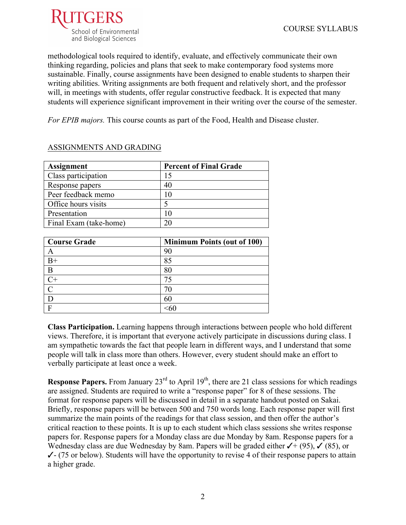

methodological tools required to identify, evaluate, and effectively communicate their own thinking regarding, policies and plans that seek to make contemporary food systems more sustainable. Finally, course assignments have been designed to enable students to sharpen their writing abilities. Writing assignments are both frequent and relatively short, and the professor will, in meetings with students, offer regular constructive feedback. It is expected that many students will experience significant improvement in their writing over the course of the semester.

*For EPIB majors.* This course counts as part of the Food, Health and Disease cluster.

| <b>Assignment</b>      | <b>Percent of Final Grade</b> |
|------------------------|-------------------------------|
| Class participation    |                               |
| Response papers        | 40                            |
| Peer feedback memo     |                               |
| Office hours visits    |                               |
| Presentation           |                               |
| Final Exam (take-home) |                               |

## ASSIGNMENTS AND GRADING

| <b>Course Grade</b> | <b>Minimum Points (out of 100)</b> |
|---------------------|------------------------------------|
|                     | 90                                 |
| $B+$                | 85                                 |
| B                   | 80                                 |
| $C+$                |                                    |
|                     |                                    |
|                     | 60                                 |
|                     |                                    |

**Class Participation.** Learning happens through interactions between people who hold different views. Therefore, it is important that everyone actively participate in discussions during class. I am sympathetic towards the fact that people learn in different ways, and I understand that some people will talk in class more than others. However, every student should make an effort to verbally participate at least once a week.

**Response Papers.** From January  $23<sup>rd</sup>$  to April  $19<sup>th</sup>$ , there are 21 class sessions for which readings are assigned. Students are required to write a "response paper" for 8 of these sessions. The format for response papers will be discussed in detail in a separate handout posted on Sakai. Briefly, response papers will be between 500 and 750 words long. Each response paper will first summarize the main points of the readings for that class session, and then offer the author's critical reaction to these points. It is up to each student which class sessions she writes response papers for. Response papers for a Monday class are due Monday by 8am. Response papers for a Wednesday class are due Wednesday by 8am. Papers will be graded either  $\checkmark$  + (95),  $\checkmark$  (85), or  $\checkmark$ - (75 or below). Students will have the opportunity to revise 4 of their response papers to attain a higher grade.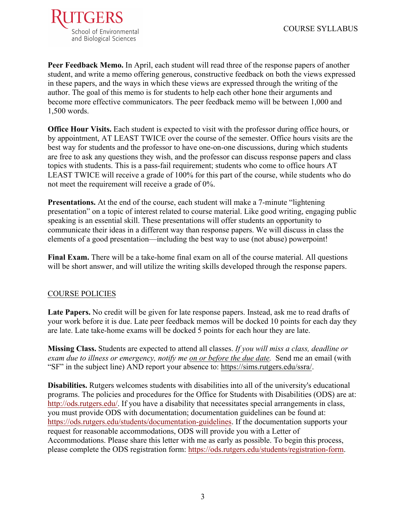

**Peer Feedback Memo.** In April, each student will read three of the response papers of another student, and write a memo offering generous, constructive feedback on both the views expressed in these papers, and the ways in which these views are expressed through the writing of the author. The goal of this memo is for students to help each other hone their arguments and become more effective communicators. The peer feedback memo will be between 1,000 and 1,500 words.

**Office Hour Visits.** Each student is expected to visit with the professor during office hours, or by appointment, AT LEAST TWICE over the course of the semester. Office hours visits are the best way for students and the professor to have one-on-one discussions, during which students are free to ask any questions they wish, and the professor can discuss response papers and class topics with students. This is a pass-fail requirement; students who come to office hours AT LEAST TWICE will receive a grade of 100% for this part of the course, while students who do not meet the requirement will receive a grade of 0%.

**Presentations.** At the end of the course, each student will make a 7-minute "lightening" presentation" on a topic of interest related to course material. Like good writing, engaging public speaking is an essential skill. These presentations will offer students an opportunity to communicate their ideas in a different way than response papers. We will discuss in class the elements of a good presentation—including the best way to use (not abuse) powerpoint!

**Final Exam.** There will be a take-home final exam on all of the course material. All questions will be short answer, and will utilize the writing skills developed through the response papers.

## COURSE POLICIES

**Late Papers.** No credit will be given for late response papers. Instead, ask me to read drafts of your work before it is due. Late peer feedback memos will be docked 10 points for each day they are late. Late take-home exams will be docked 5 points for each hour they are late.

**Missing Class.** Students are expected to attend all classes. *If you will miss a class, deadline or exam due to illness or emergency, notify me on or before the due date.* Send me an email (with "SF" in the subject line) AND report your absence to: https://sims.rutgers.edu/ssra/.

**Disabilities.** Rutgers welcomes students with disabilities into all of the university's educational programs. The policies and procedures for the Office for Students with Disabilities (ODS) are at: http://ods.rutgers.edu/. If you have a disability that necessitates special arrangements in class, you must provide ODS with documentation; documentation guidelines can be found at: https://ods.rutgers.edu/students/documentation-guidelines. If the documentation supports your request for reasonable accommodations, ODS will provide you with a Letter of Accommodations. Please share this letter with me as early as possible. To begin this process, please complete the ODS registration form: https://ods.rutgers.edu/students/registration-form.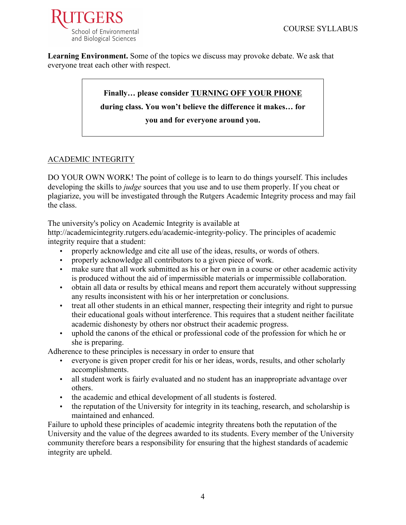

**Learning Environment.** Some of the topics we discuss may provoke debate. We ask that everyone treat each other with respect.

# **Finally… please consider TURNING OFF YOUR PHONE during class. You won't believe the difference it makes… for you and for everyone around you.**

# ACADEMIC INTEGRITY

DO YOUR OWN WORK! The point of college is to learn to do things yourself. This includes developing the skills to *judge* sources that you use and to use them properly. If you cheat or plagiarize, you will be investigated through the Rutgers Academic Integrity process and may fail the class.

The university's policy on Academic Integrity is available at

http://academicintegrity.rutgers.edu/academic-integrity-policy. The principles of academic integrity require that a student:

- properly acknowledge and cite all use of the ideas, results, or words of others.
- properly acknowledge all contributors to a given piece of work.
- make sure that all work submitted as his or her own in a course or other academic activity is produced without the aid of impermissible materials or impermissible collaboration.
- obtain all data or results by ethical means and report them accurately without suppressing any results inconsistent with his or her interpretation or conclusions.
- treat all other students in an ethical manner, respecting their integrity and right to pursue their educational goals without interference. This requires that a student neither facilitate academic dishonesty by others nor obstruct their academic progress.
- uphold the canons of the ethical or professional code of the profession for which he or she is preparing.

Adherence to these principles is necessary in order to ensure that

- everyone is given proper credit for his or her ideas, words, results, and other scholarly accomplishments.
- all student work is fairly evaluated and no student has an inappropriate advantage over others.
- the academic and ethical development of all students is fostered.
- the reputation of the University for integrity in its teaching, research, and scholarship is maintained and enhanced.

Failure to uphold these principles of academic integrity threatens both the reputation of the University and the value of the degrees awarded to its students. Every member of the University community therefore bears a responsibility for ensuring that the highest standards of academic integrity are upheld.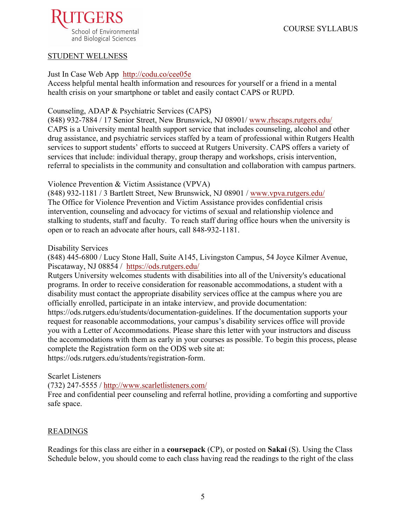

#### STUDENT WELLNESS

#### Just In Case Web App http://codu.co/cee05e

Access helpful mental health information and resources for yourself or a friend in a mental health crisis on your smartphone or tablet and easily contact CAPS or RUPD.

#### Counseling, ADAP & Psychiatric Services (CAPS)

(848) 932-7884 / 17 Senior Street, New Brunswick, NJ 08901/ www.rhscaps.rutgers.edu/ CAPS is a University mental health support service that includes counseling, alcohol and other drug assistance, and psychiatric services staffed by a team of professional within Rutgers Health services to support students' efforts to succeed at Rutgers University. CAPS offers a variety of services that include: individual therapy, group therapy and workshops, crisis intervention, referral to specialists in the community and consultation and collaboration with campus partners.

Violence Prevention & Victim Assistance (VPVA)

(848) 932-1181 / 3 Bartlett Street, New Brunswick, NJ 08901 / www.vpva.rutgers.edu/ The Office for Violence Prevention and Victim Assistance provides confidential crisis intervention, counseling and advocacy for victims of sexual and relationship violence and stalking to students, staff and faculty. To reach staff during office hours when the university is open or to reach an advocate after hours, call 848-932-1181.

Disability Services

(848) 445-6800 / Lucy Stone Hall, Suite A145, Livingston Campus, 54 Joyce Kilmer Avenue, Piscataway, NJ 08854 / https://ods.rutgers.edu/

Rutgers University welcomes students with disabilities into all of the University's educational programs. In order to receive consideration for reasonable accommodations, a student with a disability must contact the appropriate disability services office at the campus where you are officially enrolled, participate in an intake interview, and provide documentation:

https://ods.rutgers.edu/students/documentation-guidelines. If the documentation supports your request for reasonable accommodations, your campus's disability services office will provide you with a Letter of Accommodations. Please share this letter with your instructors and discuss the accommodations with them as early in your courses as possible. To begin this process, please complete the Registration form on the ODS web site at:

https://ods.rutgers.edu/students/registration-form.

#### Scarlet Listeners

(732) 247-5555 / http://www.scarletlisteners.com/

Free and confidential peer counseling and referral hotline, providing a comforting and supportive safe space.

#### READINGS

Readings for this class are either in a **coursepack** (CP), or posted on **Sakai** (S). Using the Class Schedule below, you should come to each class having read the readings to the right of the class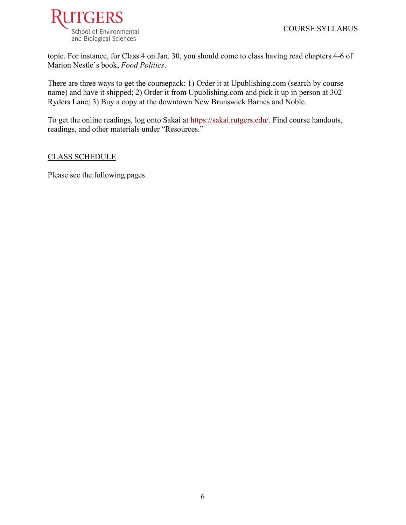

topic. For instance, for Class 4 on Jan. 30, you should come to class having read chapters 4-6 of Marion Nestle's book, *Food Politics*.

There are three ways to get the coursepack: 1) Order it at Upublishing.com (search by course name) and have it shipped; 2) Order it from Upublishing.com and pick it up in person at 302 Ryders Lane; 3) Buy a copy at the downtown New Brunswick Barnes and Noble.

To get the online readings, log onto Sakai at https://sakai.rutgers.edu/. Find course handouts, readings, and other materials under "Resources."

## CLASS SCHEDULE

Please see the following pages.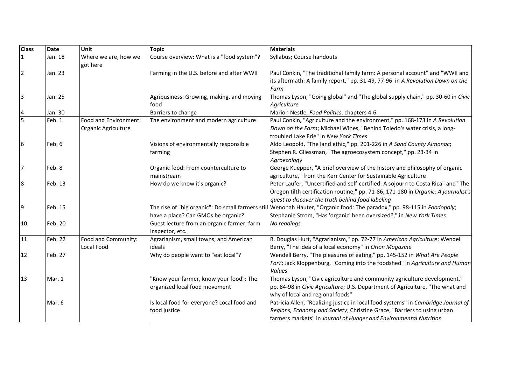| <b>Class</b>   | <b>Date</b> | Unit                                         | Topic                                                                    | <b>Materials</b>                                                                                                                                                                                                                  |
|----------------|-------------|----------------------------------------------|--------------------------------------------------------------------------|-----------------------------------------------------------------------------------------------------------------------------------------------------------------------------------------------------------------------------------|
| $\mathbf{1}$   | Jan. 18     | Where we are, how we<br>got here             | Course overview: What is a "food system"?                                | Syllabus; Course handouts                                                                                                                                                                                                         |
| $\overline{2}$ | Jan. 23     |                                              | Farming in the U.S. before and after WWII                                | Paul Conkin, "The traditional family farm: A personal account" and "WWII and<br>its aftermath: A family report," pp. 31-49, 77-96 in A Revolution Down on the<br>Farm                                                             |
| $\overline{3}$ | Jan. 25     |                                              | Agribusiness: Growing, making, and moving<br>food                        | Thomas Lyson, "Going global" and "The global supply chain," pp. 30-60 in Civic<br>Agriculture                                                                                                                                     |
| 4              | Jan. 30     |                                              | Barriers to change                                                       | Marion Nestle, Food Politics, chapters 4-6                                                                                                                                                                                        |
| $\overline{5}$ | Feb. 1      | Food and Environment:<br>Organic Agriculture | The environment and modern agriculture                                   | Paul Conkin, "Agriculture and the environment," pp. 168-173 in A Revolution<br>Down on the Farm; Michael Wines, "Behind Toledo's water crisis, a long-<br>troubled Lake Erie" in New York Times                                   |
| 6              | Feb. 6      |                                              | Visions of environmentally responsible<br> farming                       | Aldo Leopold, "The land ethic," pp. 201-226 in A Sand County Almanac;<br>Stephen R. Gliessman, "The agroecosystem concept," pp. 23-34 in<br>Agroecology                                                                           |
| $\overline{7}$ | Feb. 8      |                                              | Organic food: From counterculture to<br>mainstream                       | George Kuepper, "A brief overview of the history and philosophy of organic<br>agriculture," from the Kerr Center for Sustainable Agriculture                                                                                      |
| 8              | Feb. 13     |                                              | How do we know it's organic?                                             | Peter Laufer, "Uncertified and self-certified: A sojourn to Costa Rica" and "The<br>Oregon tilth certification routine," pp. 71-86, 171-180 in Organic: A journalist's<br>quest to discover the truth behind food labeling        |
| 9              | Feb. 15     |                                              | have a place? Can GMOs be organic?                                       | The rise of "big organic": Do small farmers still Wenonah Hauter, "Organic food: The paradox," pp. 98-115 in Foodopoly;<br>Stephanie Strom, "Has 'organic' been oversized?," in New York Times                                    |
| 10             | Feb. 20     |                                              | Guest lecture from an organic farmer, farm<br>inspector, etc.            | No readings.                                                                                                                                                                                                                      |
| 11             | Feb. 22     | Food and Community:<br>Local Food            | Agrarianism, small towns, and American<br>lideals                        | R. Douglas Hurt, "Agrarianism," pp. 72-77 in American Agriculture; Wendell<br>Berry, "The idea of a local economy" in Orion Magazine                                                                                              |
| 12             | Feb. 27     |                                              | Why do people want to "eat local"?                                       | Wendell Berry, "The pleasures of eating," pp. 145-152 in What Are People<br>For?; Jack Kloppenburg, "Coming into the foodshed" in Agriculture and Human<br>Values                                                                 |
| 13             | Mar. 1      |                                              | "Know your farmer, know your food": The<br>organized local food movement | Thomas Lyson, "Civic agriculture and community agriculture development,"<br>pp. 84-98 in Civic Agriculture; U.S. Department of Agriculture, "The what and<br>why of local and regional foods"                                     |
|                | Mar. 6      |                                              | Is local food for everyone? Local food and<br>food justice               | Patricia Allen, "Realizing justice in local food systems" in Cambridge Journal of<br>Regions, Economy and Society; Christine Grace, "Barriers to using urban<br>farmers markets" in Journal of Hunger and Environmental Nutrition |